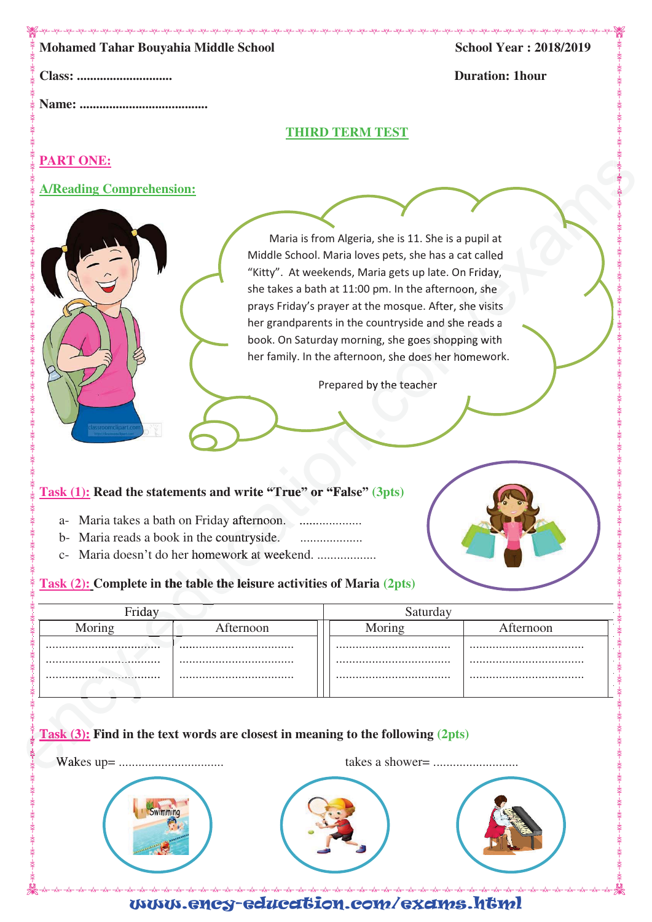| Class:<br><b>THIRD TERM TEST</b><br><b>PART ONE:</b><br><b>A/Reading Comprehension:</b><br>Maria is from Algeria, she is 11. She is a pupil at<br>Middle School. Maria loves pets, she has a cat called<br>"Kitty". At weekends, Maria gets up late. On Friday,<br>she takes a bath at 11:00 pm. In the afternoon, she<br>prays Friday's prayer at the mosque. After, she visits<br>her grandparents in the countryside and she reads a<br>book. On Saturday morning, she goes shopping with | <b>Duration: 1hour</b> |
|----------------------------------------------------------------------------------------------------------------------------------------------------------------------------------------------------------------------------------------------------------------------------------------------------------------------------------------------------------------------------------------------------------------------------------------------------------------------------------------------|------------------------|
|                                                                                                                                                                                                                                                                                                                                                                                                                                                                                              |                        |
|                                                                                                                                                                                                                                                                                                                                                                                                                                                                                              |                        |
|                                                                                                                                                                                                                                                                                                                                                                                                                                                                                              |                        |
|                                                                                                                                                                                                                                                                                                                                                                                                                                                                                              |                        |
|                                                                                                                                                                                                                                                                                                                                                                                                                                                                                              |                        |
|                                                                                                                                                                                                                                                                                                                                                                                                                                                                                              |                        |
| her family. In the afternoon, she does her homework.<br>Prepared by the teacher<br>$\overline{\mathbf{r}}$<br>lassroomclipart.cor<br>Task (1): Read the statements and write "True" or "False" (3pts)<br>a- Maria takes a bath on Friday afternoon.<br>Maria reads a book in the countryside.<br>$b-$<br>.<br>Maria doesn't do her homework at weekend.<br>$C-$<br>Task (2): Complete in the table the leisure activities of Maria (2pts)                                                    |                        |
| Friday                                                                                                                                                                                                                                                                                                                                                                                                                                                                                       | Saturday               |
| Moring<br>Afternoon<br>Moring                                                                                                                                                                                                                                                                                                                                                                                                                                                                | Afternoon              |
|                                                                                                                                                                                                                                                                                                                                                                                                                                                                                              |                        |
| Task (3): Find in the text words are closest in meaning to the following (2pts)<br>Swimming                                                                                                                                                                                                                                                                                                                                                                                                  |                        |

www.ency-education.com/exams.html